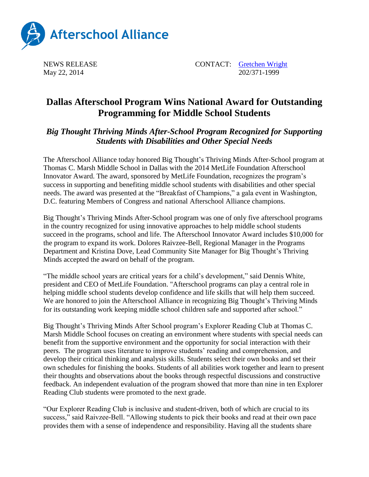

NEWS RELEASE CONTACT: [Gretchen Wright](mailto:gretchen@prsolutionsdc.com) May 22, 2014 202/371-1999

## **Dallas Afterschool Program Wins National Award for Outstanding Programming for Middle School Students**

## *Big Thought Thriving Minds After-School Program Recognized for Supporting Students with Disabilities and Other Special Needs*

The Afterschool Alliance today honored Big Thought's Thriving Minds After-School program at Thomas C. Marsh Middle School in Dallas with the 2014 MetLife Foundation Afterschool Innovator Award. The award, sponsored by MetLife Foundation, recognizes the program's success in supporting and benefiting middle school students with disabilities and other special needs. The award was presented at the "Breakfast of Champions," a gala event in Washington, D.C. featuring Members of Congress and national Afterschool Alliance champions.

Big Thought's Thriving Minds After-School program was one of only five afterschool programs in the country recognized for using innovative approaches to help middle school students succeed in the programs, school and life. The Afterschool Innovator Award includes \$10,000 for the program to expand its work. Dolores Raivzee-Bell, Regional Manager in the Programs Department and Kristina Dove, Lead Community Site Manager for Big Thought's Thriving Minds accepted the award on behalf of the program.

"The middle school years are critical years for a child's development," said Dennis White, president and CEO of MetLife Foundation. "Afterschool programs can play a central role in helping middle school students develop confidence and life skills that will help them succeed. We are honored to join the Afterschool Alliance in recognizing Big Thought's Thriving Minds for its outstanding work keeping middle school children safe and supported after school."

Big Thought's Thriving Minds After School program's Explorer Reading Club at Thomas C. Marsh Middle School focuses on creating an environment where students with special needs can benefit from the supportive environment and the opportunity for social interaction with their peers. The program uses literature to improve students' reading and comprehension, and develop their critical thinking and analysis skills. Students select their own books and set their own schedules for finishing the books. Students of all abilities work together and learn to present their thoughts and observations about the books through respectful discussions and constructive feedback. An independent evaluation of the program showed that more than nine in ten Explorer Reading Club students were promoted to the next grade.

"Our Explorer Reading Club is inclusive and student-driven, both of which are crucial to its success," said Raivzee-Bell. "Allowing students to pick their books and read at their own pace provides them with a sense of independence and responsibility. Having all the students share